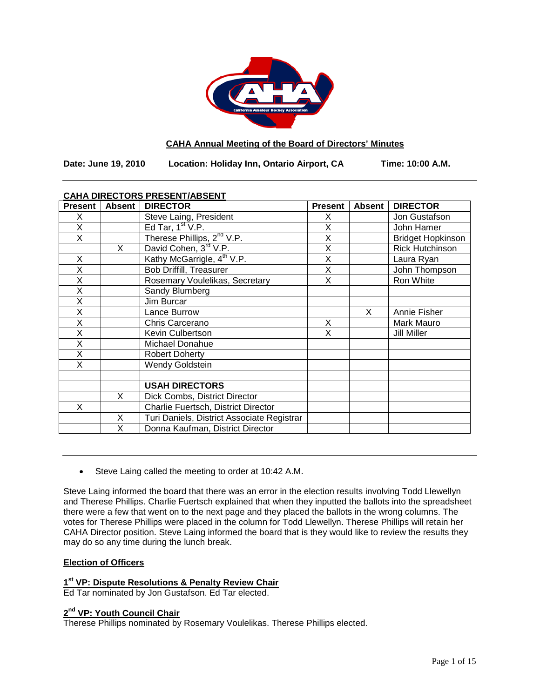

# **CAHA Annual Meeting of the Board of Directors' Minutes**

**Date: June 19, 2010 Location: Holiday Inn, Ontario Airport, CA Time: 10:00 A.M.**

# **CAHA DIRECTORS PRESENT/ABSENT**

| <b>Present</b> | <b>Absent</b> | <b>DIRECTOR</b>                            | <b>Present</b> | <b>Absent</b> | <b>DIRECTOR</b>          |
|----------------|---------------|--------------------------------------------|----------------|---------------|--------------------------|
| X              |               | Steve Laing, President                     | X              |               | Jon Gustafson            |
| X              |               | Ed Tar, $1st V.P.$                         | X              |               | John Hamer               |
| X              |               | Therese Phillips, 2 <sup>nd</sup> V.P.     | X              |               | <b>Bridget Hopkinson</b> |
|                | X             | David Cohen, 3 <sup>rd</sup> V.P.          | X              |               | <b>Rick Hutchinson</b>   |
| X              |               | Kathy McGarrigle, 4 <sup>th</sup> V.P.     | X              |               | Laura Ryan               |
| X              |               | <b>Bob Driffill, Treasurer</b>             | X              |               | John Thompson            |
| Χ              |               | Rosemary Voulelikas, Secretary             | X              |               | Ron White                |
| X              |               | Sandy Blumberg                             |                |               |                          |
| X              |               | Jim Burcar                                 |                |               |                          |
| Χ              |               | Lance Burrow                               |                | X             | Annie Fisher             |
| X              |               | Chris Carcerano                            | X              |               | Mark Mauro               |
| X              |               | Kevin Culbertson                           | X              |               | Jill Miller              |
| X              |               | Michael Donahue                            |                |               |                          |
| X              |               | <b>Robert Doherty</b>                      |                |               |                          |
| X              |               | Wendy Goldstein                            |                |               |                          |
|                |               |                                            |                |               |                          |
|                |               | <b>USAH DIRECTORS</b>                      |                |               |                          |
|                | X             | Dick Combs, District Director              |                |               |                          |
| X              |               | Charlie Fuertsch, District Director        |                |               |                          |
|                | X             | Turi Daniels, District Associate Registrar |                |               |                          |
|                | X             | Donna Kaufman, District Director           |                |               |                          |

• Steve Laing called the meeting to order at 10:42 A.M.

Steve Laing informed the board that there was an error in the election results involving Todd Llewellyn and Therese Phillips. Charlie Fuertsch explained that when they inputted the ballots into the spreadsheet there were a few that went on to the next page and they placed the ballots in the wrong columns. The votes for Therese Phillips were placed in the column for Todd Llewellyn. Therese Phillips will retain her CAHA Director position. Steve Laing informed the board that is they would like to review the results they may do so any time during the lunch break.

### **Election of Officers**

# **1st VP: Dispute Resolutions & Penalty Review Chair**

Ed Tar nominated by Jon Gustafson. Ed Tar elected.

# **2nd VP: Youth Council Chair**

Therese Phillips nominated by Rosemary Voulelikas. Therese Phillips elected.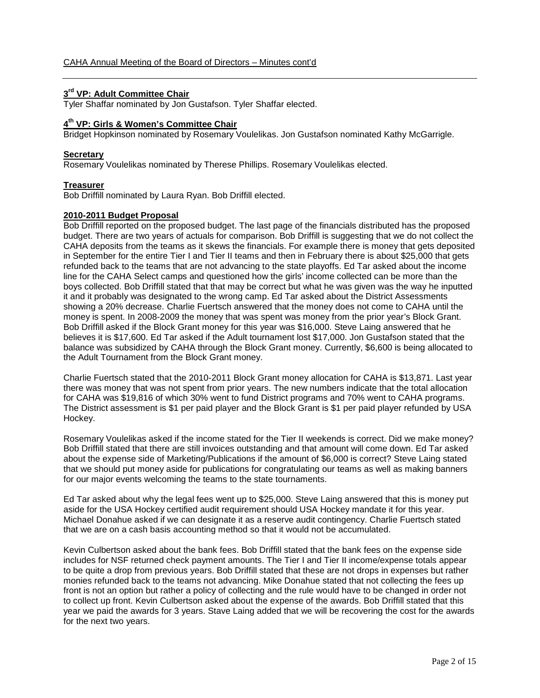# **3rd VP: Adult Committee Chair**

Tyler Shaffar nominated by Jon Gustafson. Tyler Shaffar elected.

### **4th VP: Girls & Women's Committee Chair**

Bridget Hopkinson nominated by Rosemary Voulelikas. Jon Gustafson nominated Kathy McGarrigle.

### **Secretary**

Rosemary Voulelikas nominated by Therese Phillips. Rosemary Voulelikas elected.

#### **Treasurer**

Bob Driffill nominated by Laura Ryan. Bob Driffill elected.

# **2010-2011 Budget Proposal**

Bob Driffill reported on the proposed budget. The last page of the financials distributed has the proposed budget. There are two years of actuals for comparison. Bob Driffill is suggesting that we do not collect the CAHA deposits from the teams as it skews the financials. For example there is money that gets deposited in September for the entire Tier I and Tier II teams and then in February there is about \$25,000 that gets refunded back to the teams that are not advancing to the state playoffs. Ed Tar asked about the income line for the CAHA Select camps and questioned how the girls' income collected can be more than the boys collected. Bob Driffill stated that that may be correct but what he was given was the way he inputted it and it probably was designated to the wrong camp. Ed Tar asked about the District Assessments showing a 20% decrease. Charlie Fuertsch answered that the money does not come to CAHA until the money is spent. In 2008-2009 the money that was spent was money from the prior year's Block Grant. Bob Driffill asked if the Block Grant money for this year was \$16,000. Steve Laing answered that he believes it is \$17,600. Ed Tar asked if the Adult tournament lost \$17,000. Jon Gustafson stated that the balance was subsidized by CAHA through the Block Grant money. Currently, \$6,600 is being allocated to the Adult Tournament from the Block Grant money.

Charlie Fuertsch stated that the 2010-2011 Block Grant money allocation for CAHA is \$13,871. Last year there was money that was not spent from prior years. The new numbers indicate that the total allocation for CAHA was \$19,816 of which 30% went to fund District programs and 70% went to CAHA programs. The District assessment is \$1 per paid player and the Block Grant is \$1 per paid player refunded by USA Hockey.

Rosemary Voulelikas asked if the income stated for the Tier II weekends is correct. Did we make money? Bob Driffill stated that there are still invoices outstanding and that amount will come down. Ed Tar asked about the expense side of Marketing/Publications if the amount of \$6,000 is correct? Steve Laing stated that we should put money aside for publications for congratulating our teams as well as making banners for our major events welcoming the teams to the state tournaments.

Ed Tar asked about why the legal fees went up to \$25,000. Steve Laing answered that this is money put aside for the USA Hockey certified audit requirement should USA Hockey mandate it for this year. Michael Donahue asked if we can designate it as a reserve audit contingency. Charlie Fuertsch stated that we are on a cash basis accounting method so that it would not be accumulated.

Kevin Culbertson asked about the bank fees. Bob Driffill stated that the bank fees on the expense side includes for NSF returned check payment amounts. The Tier I and Tier II income/expense totals appear to be quite a drop from previous years. Bob Driffill stated that these are not drops in expenses but rather monies refunded back to the teams not advancing. Mike Donahue stated that not collecting the fees up front is not an option but rather a policy of collecting and the rule would have to be changed in order not to collect up front. Kevin Culbertson asked about the expense of the awards. Bob Driffill stated that this year we paid the awards for 3 years. Stave Laing added that we will be recovering the cost for the awards for the next two years.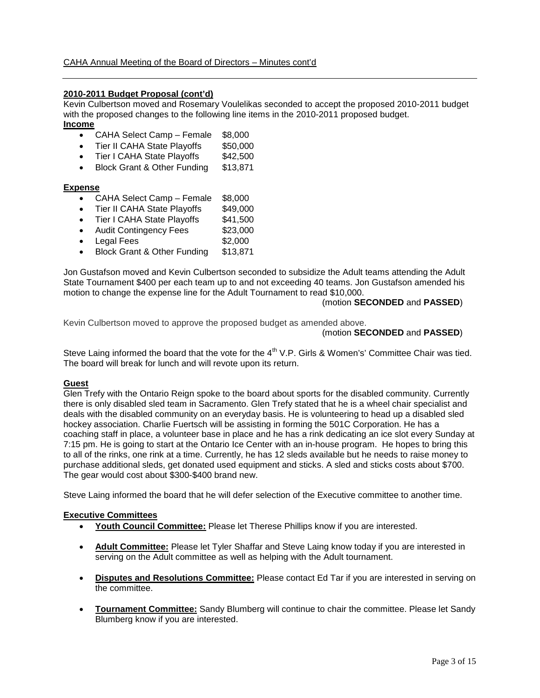### **2010-2011 Budget Proposal (cont'd)**

Kevin Culbertson moved and Rosemary Voulelikas seconded to accept the proposed 2010-2011 budget with the proposed changes to the following line items in the 2010-2011 proposed budget. **Income**

- CAHA Select Camp Female \$8,000
- Tier II CAHA State Playoffs \$50,000
- Tier I CAHA State Playoffs \$42,500
- Block Grant & Other Funding \$13,871

#### **Expense**

- CAHA Select Camp Female \$8,000
- Tier II CAHA State Playoffs \$49,000
- Tier I CAHA State Playoffs \$41,500
- Audit Contingency Fees \$23,000
- Legal Fees \$2,000
- Block Grant & Other Funding \$13,871

Jon Gustafson moved and Kevin Culbertson seconded to subsidize the Adult teams attending the Adult State Tournament \$400 per each team up to and not exceeding 40 teams. Jon Gustafson amended his motion to change the expense line for the Adult Tournament to read \$10,000.

#### (motion **SECONDED** and **PASSED**)

Kevin Culbertson moved to approve the proposed budget as amended above.

### (motion **SECONDED** and **PASSED**)

Steve Laing informed the board that the vote for the  $4<sup>th</sup>$  V.P. Girls & Women's' Committee Chair was tied. The board will break for lunch and will revote upon its return.

#### **Guest**

Glen Trefy with the Ontario Reign spoke to the board about sports for the disabled community. Currently there is only disabled sled team in Sacramento. Glen Trefy stated that he is a wheel chair specialist and deals with the disabled community on an everyday basis. He is volunteering to head up a disabled sled hockey association. Charlie Fuertsch will be assisting in forming the 501C Corporation. He has a coaching staff in place, a volunteer base in place and he has a rink dedicating an ice slot every Sunday at 7:15 pm. He is going to start at the Ontario Ice Center with an in-house program. He hopes to bring this to all of the rinks, one rink at a time. Currently, he has 12 sleds available but he needs to raise money to purchase additional sleds, get donated used equipment and sticks. A sled and sticks costs about \$700. The gear would cost about \$300-\$400 brand new.

Steve Laing informed the board that he will defer selection of the Executive committee to another time.

#### **Executive Committees**

- **Youth Council Committee:** Please let Therese Phillips know if you are interested.
- **Adult Committee:** Please let Tyler Shaffar and Steve Laing know today if you are interested in serving on the Adult committee as well as helping with the Adult tournament.
- **Disputes and Resolutions Committee:** Please contact Ed Tar if you are interested in serving on the committee.
- **Tournament Committee:** Sandy Blumberg will continue to chair the committee. Please let Sandy Blumberg know if you are interested.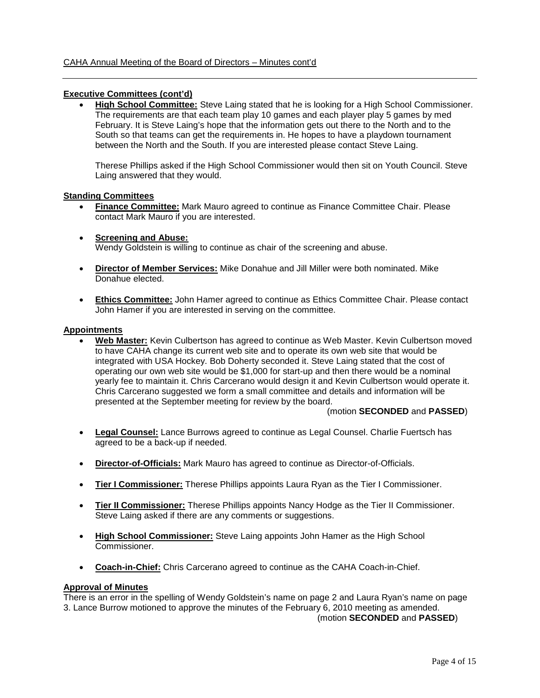### **Executive Committees (cont'd)**

• **High School Committee:** Steve Laing stated that he is looking for a High School Commissioner. The requirements are that each team play 10 games and each player play 5 games by med February. It is Steve Laing's hope that the information gets out there to the North and to the South so that teams can get the requirements in. He hopes to have a playdown tournament between the North and the South. If you are interested please contact Steve Laing.

Therese Phillips asked if the High School Commissioner would then sit on Youth Council. Steve Laing answered that they would.

#### **Standing Committees**

- **Finance Committee:** Mark Mauro agreed to continue as Finance Committee Chair. Please contact Mark Mauro if you are interested.
- **Screening and Abuse:** Wendy Goldstein is willing to continue as chair of the screening and abuse.
- **Director of Member Services:** Mike Donahue and Jill Miller were both nominated. Mike Donahue elected.
- **Ethics Committee:** John Hamer agreed to continue as Ethics Committee Chair. Please contact John Hamer if you are interested in serving on the committee.

#### **Appointments**

• **Web Master:** Kevin Culbertson has agreed to continue as Web Master. Kevin Culbertson moved to have CAHA change its current web site and to operate its own web site that would be integrated with USA Hockey. Bob Doherty seconded it. Steve Laing stated that the cost of operating our own web site would be \$1,000 for start-up and then there would be a nominal yearly fee to maintain it. Chris Carcerano would design it and Kevin Culbertson would operate it. Chris Carcerano suggested we form a small committee and details and information will be presented at the September meeting for review by the board.

#### (motion **SECONDED** and **PASSED**)

- **Legal Counsel:** Lance Burrows agreed to continue as Legal Counsel. Charlie Fuertsch has agreed to be a back-up if needed.
- **Director-of-Officials:** Mark Mauro has agreed to continue as Director-of-Officials.
- **Tier I Commissioner:** Therese Phillips appoints Laura Ryan as the Tier I Commissioner.
- **Tier II Commissioner:** Therese Phillips appoints Nancy Hodge as the Tier II Commissioner. Steve Laing asked if there are any comments or suggestions.
- **High School Commissioner:** Steve Laing appoints John Hamer as the High School Commissioner.
- **Coach-in-Chief:** Chris Carcerano agreed to continue as the CAHA Coach-in-Chief.

### **Approval of Minutes**

There is an error in the spelling of Wendy Goldstein's name on page 2 and Laura Ryan's name on page 3. Lance Burrow motioned to approve the minutes of the February 6, 2010 meeting as amended.

(motion **SECONDED** and **PASSED**)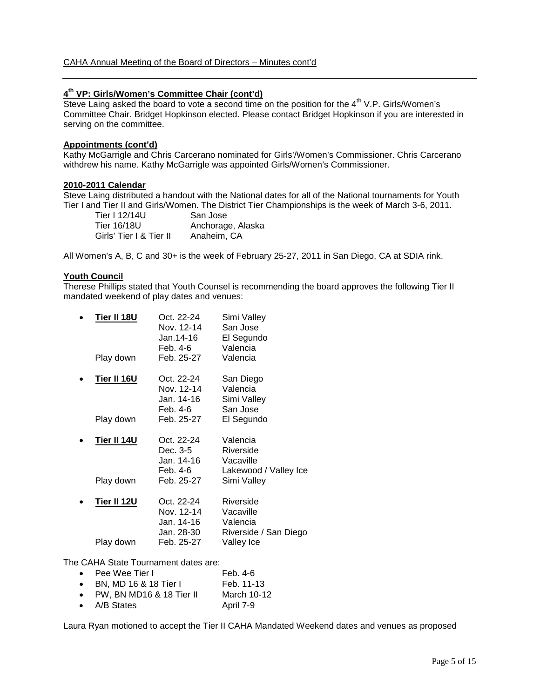# **4th VP: Girls/Women's Committee Chair (cont'd)**

Steve Laing asked the board to vote a second time on the position for the  $4^{th}$  V.P. Girls/Women's Committee Chair. Bridget Hopkinson elected. Please contact Bridget Hopkinson if you are interested in serving on the committee.

# **Appointments (cont'd)**

Kathy McGarrigle and Chris Carcerano nominated for Girls'/Women's Commissioner. Chris Carcerano withdrew his name. Kathy McGarrigle was appointed Girls/Women's Commissioner.

#### **2010-2011 Calendar**

Steve Laing distributed a handout with the National dates for all of the National tournaments for Youth Tier I and Tier II and Girls/Women. The District Tier Championships is the week of March 3-6, 2011.

| Tier I 12/14U           | San Jose          |
|-------------------------|-------------------|
| Tier 16/18U             | Anchorage, Alaska |
| Girls' Tier I & Tier II | Anaheim, CA       |

All Women's A, B, C and 30+ is the week of February 25-27, 2011 in San Diego, CA at SDIA rink.

#### **Youth Council**

Therese Phillips stated that Youth Counsel is recommending the board approves the following Tier II mandated weekend of play dates and venues:

| Tier II 18U<br>Play down        | Oct. 22-24<br>Nov. 12-14<br>Jan.14-16<br>Feb. 4-6<br>Feb. 25-27    | Simi Valley<br>San Jose<br>El Segundo<br>Valencia<br>Valencia              |
|---------------------------------|--------------------------------------------------------------------|----------------------------------------------------------------------------|
| <b>Tier II 16U</b><br>Play down | Oct. 22-24<br>Nov. 12-14<br>Jan. 14-16<br>Feb. 4-6<br>Feb. 25-27   | San Diego<br>Valencia<br>Simi Valley<br>San Jose<br>El Segundo             |
| Tier II 14U<br>Play down        | Oct. 22-24<br>Dec. 3-5<br>Jan. 14-16<br>Feb. 4-6<br>Feb. 25-27     | Valencia<br>Riverside<br>Vacaville<br>Lakewood / Valley Ice<br>Simi Valley |
| <b>Tier II 12U</b><br>Play down | Oct. 22-24<br>Nov. 12-14<br>Jan. 14-16<br>Jan. 28-30<br>Feb. 25-27 | Riverside<br>Vacaville<br>Valencia<br>Riverside / San Diego<br>Valley Ice  |

The CAHA State Tournament dates are:

| $\bullet$ Pee Wee Tier I           | Feb. 4-6    |
|------------------------------------|-------------|
| • BN, MD 16 & 18 Tier I            | Feb. 11-13  |
| $\bullet$ PW, BN MD16 & 18 Tier II | March 10-12 |
| • $A/B$ States                     | April 7-9   |

Laura Ryan motioned to accept the Tier II CAHA Mandated Weekend dates and venues as proposed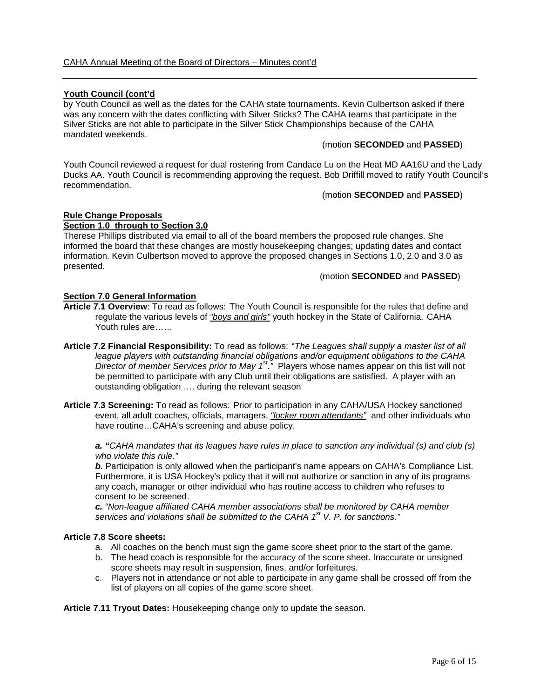# **Youth Council (cont'd**

by Youth Council as well as the dates for the CAHA state tournaments. Kevin Culbertson asked if there was any concern with the dates conflicting with Silver Sticks? The CAHA teams that participate in the Silver Sticks are not able to participate in the Silver Stick Championships because of the CAHA mandated weekends.

#### (motion **SECONDED** and **PASSED**)

Youth Council reviewed a request for dual rostering from Candace Lu on the Heat MD AA16U and the Lady Ducks AA. Youth Council is recommending approving the request. Bob Driffill moved to ratify Youth Council's recommendation.

(motion **SECONDED** and **PASSED**)

#### **Rule Change Proposals Section 1.0 through to Section 3.0**

Therese Phillips distributed via email to all of the board members the proposed rule changes. She informed the board that these changes are mostly housekeeping changes; updating dates and contact information. Kevin Culbertson moved to approve the proposed changes in Sections 1.0, 2.0 and 3.0 as presented.

#### (motion **SECONDED** and **PASSED**)

#### **Section 7.0 General Information**

- **Article 7.1 Overview**: To read as follows: The Youth Council is responsible for the rules that define and regulate the various levels of *"boys and girls"* youth hockey in the State of California. CAHA Youth rules are……
- **Article 7.2 Financial Responsibility:** To read as follows: "*The Leagues shall supply a master list of all league players with outstanding financial obligations and/or equipment obligations to the CAHA Director of member Services prior to May 1st."* Players whose names appear on this list will not be permitted to participate with any Club until their obligations are satisfied. A player with an outstanding obligation …. during the relevant season
- **Article 7.3 Screening:** To read as follows: Prior to participation in any CAHA/USA Hockey sanctioned event, all adult coaches, officials, managers, *"locker room attendants"* and other individuals who have routine…CAHA's screening and abuse policy.

*a. "CAHA mandates that its leagues have rules in place to sanction any individual (s) and club (s) who violate this rule."*

*b.* Participation is only allowed when the participant's name appears on CAHA's Compliance List. Furthermore, it is USA Hockey's policy that it will not authorize or sanction in any of its programs any coach, manager or other individual who has routine access to children who refuses to consent to be screened.

*c. "Non-league affiliated CAHA member associations shall be monitored by CAHA member services and violations shall be submitted to the CAHA 1st V. P. for sanctions."*

#### **Article 7.8 Score sheets:**

- a. All coaches on the bench must sign the game score sheet prior to the start of the game.
- b. The head coach is responsible for the accuracy of the score sheet. Inaccurate or unsigned score sheets may result in suspension, fines, and/or forfeitures.
- c. Players not in attendance or not able to participate in any game shall be crossed off from the list of players on all copies of the game score sheet.

**Article 7.11 Tryout Dates:** Housekeeping change only to update the season.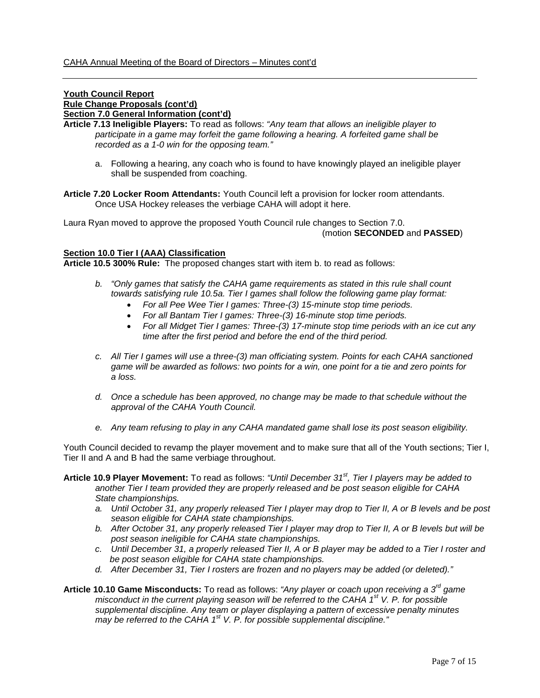### **Youth Council Report Rule Change Proposals (cont'd) Section 7.0 General Information (cont'd)**

**Article 7.13 Ineligible Players:** To read as follows: *"Any team that allows an ineligible player to participate in a game may forfeit the game following a hearing. A forfeited game shall be recorded as a 1-0 win for the opposing team."*

- a. Following a hearing, any coach who is found to have knowingly played an ineligible player shall be suspended from coaching.
- **Article 7.20 Locker Room Attendants:** Youth Council left a provision for locker room attendants. Once USA Hockey releases the verbiage CAHA will adopt it here.

Laura Ryan moved to approve the proposed Youth Council rule changes to Section 7.0. (motion **SECONDED** and **PASSED**)

#### **Section 10.0 Tier I (AAA) Classification**

**Article 10.5 300% Rule:** The proposed changes start with item b. to read as follows:

- *b. "Only games that satisfy the CAHA game requirements as stated in this rule shall count towards satisfying rule 10.5a. Tier I games shall follow the following game play format:*
	- *For all Pee Wee Tier I games: Three-(3) 15-minute stop time periods.*
	- *For all Bantam Tier I games: Three-(3) 16-minute stop time periods.*
	- *For all Midget Tier I games: Three-(3) 17-minute stop time periods with an ice cut any time after the first period and before the end of the third period.*
- *c. All Tier I games will use a three-(3) man officiating system. Points for each CAHA sanctioned game will be awarded as follows: two points for a win, one point for a tie and zero points for a loss.*
- *d. Once a schedule has been approved, no change may be made to that schedule without the approval of the CAHA Youth Council.*
- *e. Any team refusing to play in any CAHA mandated game shall lose its post season eligibility.*

Youth Council decided to revamp the player movement and to make sure that all of the Youth sections; Tier I, Tier II and A and B had the same verbiage throughout.

- **Article 10.9 Player Movement:** To read as follows: *"Until December 31st, Tier I players may be added to another Tier I team provided they are properly released and be post season eligible for CAHA State championships.*
	- *a. Until October 31, any properly released Tier I player may drop to Tier II, A or B levels and be post season eligible for CAHA state championships.*
	- *b. After October 31, any properly released Tier I player may drop to Tier II, A or B levels but will be post season ineligible for CAHA state championships.*
	- *c. Until December 31, a properly released Tier II, A or B player may be added to a Tier I roster and be post season eligible for CAHA state championships.*
	- *d. After December 31, Tier I rosters are frozen and no players may be added (or deleted)."*
- **Article 10.10 Game Misconducts:** To read as follows: *"Any player or coach upon receiving a 3rd game misconduct in the current playing season will be referred to the CAHA 1st V. P. for possible supplemental discipline. Any team or player displaying a pattern of excessive penalty minutes may be referred to the CAHA 1st V. P. for possible supplemental discipline."*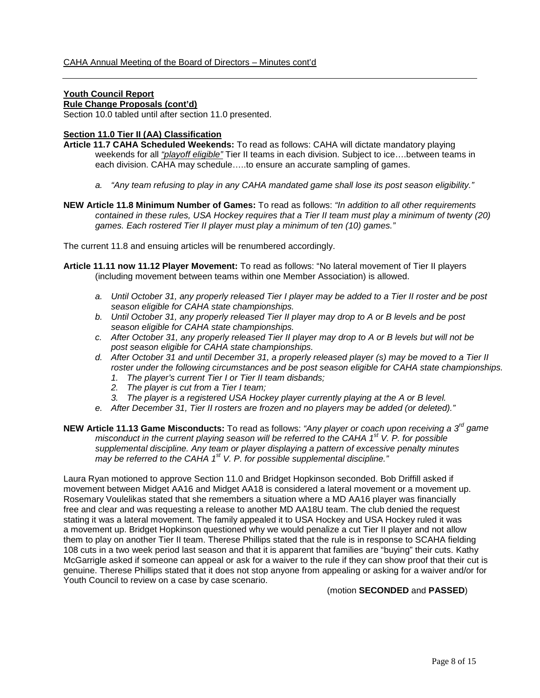# **Youth Council Report**

# **Rule Change Proposals (cont'd)**

Section 10.0 tabled until after section 11.0 presented.

#### **Section 11.0 Tier II (AA) Classification**

- **Article 11.7 CAHA Scheduled Weekends:** To read as follows: CAHA will dictate mandatory playing weekends for all *"playoff eligible"* Tier II teams in each division. Subject to ice….between teams in each division. CAHA may schedule…..to ensure an accurate sampling of games.
	- *a. "Any team refusing to play in any CAHA mandated game shall lose its post season eligibility."*
- **NEW Article 11.8 Minimum Number of Games:** To read as follows: *"In addition to all other requirements contained in these rules, USA Hockey requires that a Tier II team must play a minimum of twenty (20) games. Each rostered Tier II player must play a minimum of ten (10) games."*

The current 11.8 and ensuing articles will be renumbered accordingly.

- **Article 11.11 now 11.12 Player Movement:** To read as follows: "No lateral movement of Tier II players (including movement between teams within one Member Association) is allowed.
	- *a. Until October 31, any properly released Tier I player may be added to a Tier II roster and be post season eligible for CAHA state championships.*
	- *b. Until October 31, any properly released Tier II player may drop to A or B levels and be post season eligible for CAHA state championships.*
	- *c. After October 31, any properly released Tier II player may drop to A or B levels but will not be post season eligible for CAHA state championships.*
	- *d. After October 31 and until December 31, a properly released player (s) may be moved to a Tier II roster under the following circumstances and be post season eligible for CAHA state championships.*
		- *1. The player's current Tier I or Tier II team disbands;*
		- *2. The player is cut from a Tier I team;*
		- *3. The player is a registered USA Hockey player currently playing at the A or B level.*
	- *e. After December 31, Tier II rosters are frozen and no players may be added (or deleted)."*
- **NEW Article 11.13 Game Misconducts:** To read as follows: *"Any player or coach upon receiving a 3rd game misconduct in the current playing season will be referred to the CAHA 1st V. P. for possible supplemental discipline. Any team or player displaying a pattern of excessive penalty minutes may be referred to the CAHA 1st V. P. for possible supplemental discipline."*

Laura Ryan motioned to approve Section 11.0 and Bridget Hopkinson seconded. Bob Driffill asked if movement between Midget AA16 and Midget AA18 is considered a lateral movement or a movement up. Rosemary Voulelikas stated that she remembers a situation where a MD AA16 player was financially free and clear and was requesting a release to another MD AA18U team. The club denied the request stating it was a lateral movement. The family appealed it to USA Hockey and USA Hockey ruled it was a movement up. Bridget Hopkinson questioned why we would penalize a cut Tier II player and not allow them to play on another Tier II team. Therese Phillips stated that the rule is in response to SCAHA fielding 108 cuts in a two week period last season and that it is apparent that families are "buying" their cuts. Kathy McGarrigle asked if someone can appeal or ask for a waiver to the rule if they can show proof that their cut is genuine. Therese Phillips stated that it does not stop anyone from appealing or asking for a waiver and/or for Youth Council to review on a case by case scenario.

(motion **SECONDED** and **PASSED**)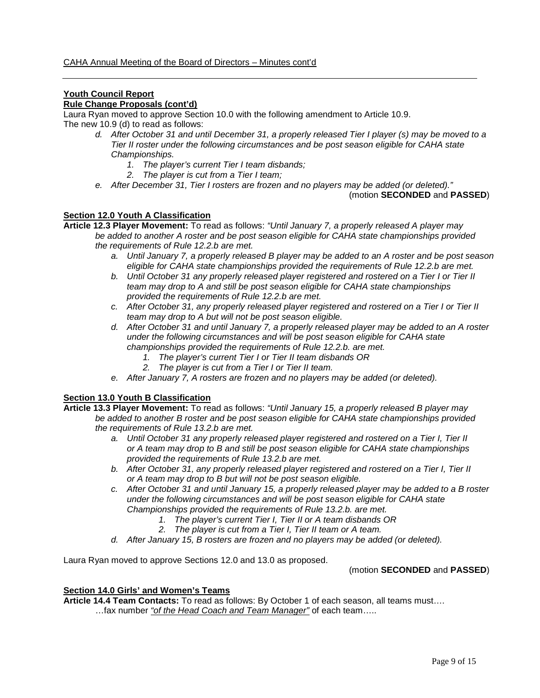# **Youth Council Report**

# **Rule Change Proposals (cont'd)**

Laura Ryan moved to approve Section 10.0 with the following amendment to Article 10.9.

The new 10.9 (d) to read as follows:

- *d. After October 31 and until December 31, a properly released Tier I player (s) may be moved to a Tier II roster under the following circumstances and be post season eligible for CAHA state Championships.*
	- *1. The player's current Tier I team disbands;*
	- *2. The player is cut from a Tier I team;*
- *e. After December 31, Tier I rosters are frozen and no players may be added (or deleted)."*

(motion **SECONDED** and **PASSED**)

# **Section 12.0 Youth A Classification**

- **Article 12.3 Player Movement:** To read as follows: *"Until January 7, a properly released A player may be added to another A roster and be post season eligible for CAHA state championships provided the requirements of Rule 12.2.b are met.*
	- *a. Until January 7, a properly released B player may be added to an A roster and be post season eligible for CAHA state championships provided the requirements of Rule 12.2.b are met.*
	- *b. Until October 31 any properly released player registered and rostered on a Tier I or Tier II team may drop to A and still be post season eligible for CAHA state championships provided the requirements of Rule 12.2.b are met.*
	- *c. After October 31, any properly released player registered and rostered on a Tier I or Tier II team may drop to A but will not be post season eligible.*
	- *d. After October 31 and until January 7, a properly released player may be added to an A roster under the following circumstances and will be post season eligible for CAHA state championships provided the requirements of Rule 12.2.b. are met.*
		- *1. The player's current Tier I or Tier II team disbands OR*
		- *2. The player is cut from a Tier I or Tier II team.*
	- *e. After January 7, A rosters are frozen and no players may be added (or deleted).*

# **Section 13.0 Youth B Classification**

- **Article 13.3 Player Movement:** To read as follows: *"Until January 15, a properly released B player may be added to another B roster and be post season eligible for CAHA state championships provided the requirements of Rule 13.2.b are met.*
	- *a. Until October 31 any properly released player registered and rostered on a Tier I, Tier II or A team may drop to B and still be post season eligible for CAHA state championships provided the requirements of Rule 13.2.b are met.*
	- *b. After October 31, any properly released player registered and rostered on a Tier I, Tier II or A team may drop to B but will not be post season eligible.*
	- *c. After October 31 and until January 15, a properly released player may be added to a B roster under the following circumstances and will be post season eligible for CAHA state Championships provided the requirements of Rule 13.2.b. are met.*
		- *1. The player's current Tier I, Tier II or A team disbands OR*
			- *2. The player is cut from a Tier I, Tier II team or A team.*
	- *d. After January 15, B rosters are frozen and no players may be added (or deleted).*

Laura Ryan moved to approve Sections 12.0 and 13.0 as proposed.

(motion **SECONDED** and **PASSED**)

## **Section 14.0 Girls' and Women's Teams**

**Article 14.4 Team Contacts:** To read as follows: By October 1 of each season, all teams must…. …fax number *"of the Head Coach and Team Manager"* of each team…..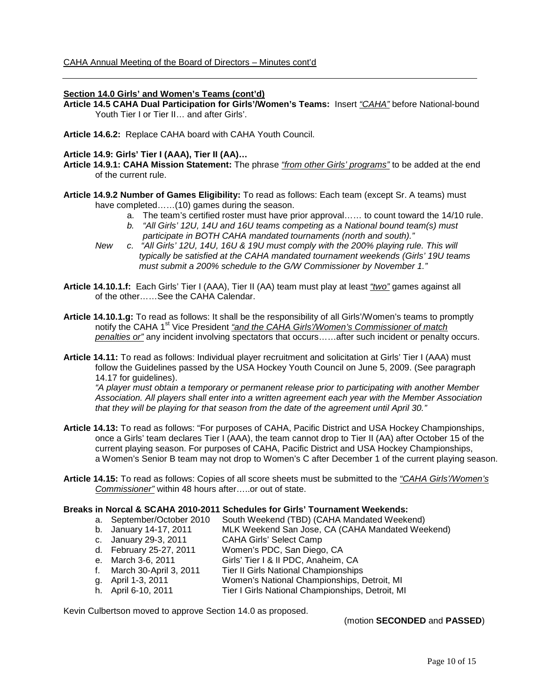### **Section 14.0 Girls' and Women's Teams (cont'd)**

**Article 14.5 CAHA Dual Participation for Girls'/Women's Teams:** Insert *"CAHA"* before National-bound Youth Tier I or Tier II… and after Girls'.

**Article 14.6.2:** Replace CAHA board with CAHA Youth Council.

#### **Article 14.9: Girls' Tier I (AAA), Tier II (AA)…**

- **Article 14.9.1: CAHA Mission Statement:** The phrase *"from other Girls' programs"* to be added at the end of the current rule.
- **Article 14.9.2 Number of Games Eligibility:** To read as follows: Each team (except Sr. A teams) must have completed……(10) games during the season.
	- a. The team's certified roster must have prior approval…… to count toward the 14/10 rule.
	- *b. "All Girls' 12U, 14U and 16U teams competing as a National bound team(s) must participate in BOTH CAHA mandated tournaments (north and south)."*
	- *New c. "All Girls' 12U, 14U, 16U & 19U must comply with the 200% playing rule. This will typically be satisfied at the CAHA mandated tournament weekends (Girls' 19U teams must submit a 200% schedule to the G/W Commissioner by November 1."*
- **Article 14.10.1.f:** Each Girls' Tier I (AAA), Tier II (AA) team must play at least *"two"* games against all of the other……See the CAHA Calendar.
- **Article 14.10.1.g:** To read as follows: It shall be the responsibility of all Girls'/Women's teams to promptly notify the CAHA 1<sup>st</sup> Vice President *"and the CAHA Girls'/Women's Commissioner of match penalties or"* any incident involving spectators that occurs……after such incident or penalty occurs.
- **Article 14.11:** To read as follows: Individual player recruitment and solicitation at Girls' Tier I (AAA) must follow the Guidelines passed by the USA Hockey Youth Council on June 5, 2009. (See paragraph 14.17 for guidelines).

*"A player must obtain a temporary or permanent release prior to participating with another Member Association. All players shall enter into a written agreement each year with the Member Association that they will be playing for that season from the date of the agreement until April 30."*

- **Article 14.13:** To read as follows: "For purposes of CAHA, Pacific District and USA Hockey Championships, once a Girls' team declares Tier I (AAA), the team cannot drop to Tier II (AA) after October 15 of the current playing season. For purposes of CAHA, Pacific District and USA Hockey Championships, a Women's Senior B team may not drop to Women's C after December 1 of the current playing season.
- **Article 14.15:** To read as follows: Copies of all score sheets must be submitted to the *"CAHA Girls'/Women's Commissioner"* within 48 hours after…..or out of state.

#### **Breaks in Norcal & SCAHA 2010-2011 Schedules for Girls' Tournament Weekends:**

- a. September/October 2010 South Weekend (TBD) (CAHA Mandated Weekend)<br>b. January 14-17, 2011 MLK Weekend San Jose, CA (CAHA Mandated Wee
	- MLK Weekend San Jose, CA (CAHA Mandated Weekend)
- c. January 29-3, 2011 CAHA Girls' Select Camp
- 
- d. February 25-27, 2011 Women's PDC, San Diego, CA<br>e. March 3-6, 2011 Girls' Tier I & II PDC, Anaheim. Girls' Tier I & II PDC, Anaheim, CA
- f. March 30-April 3, 2011 Tier II Girls National Championships
- 
- g. April 1-3, 2011 Women's National Championships, Detroit, MI<br>
h. April 6-10, 2011 Tier I Girls National Championships, Detroit, MI Tier I Girls National Championships, Detroit, MI

Kevin Culbertson moved to approve Section 14.0 as proposed.

(motion **SECONDED** and **PASSED**)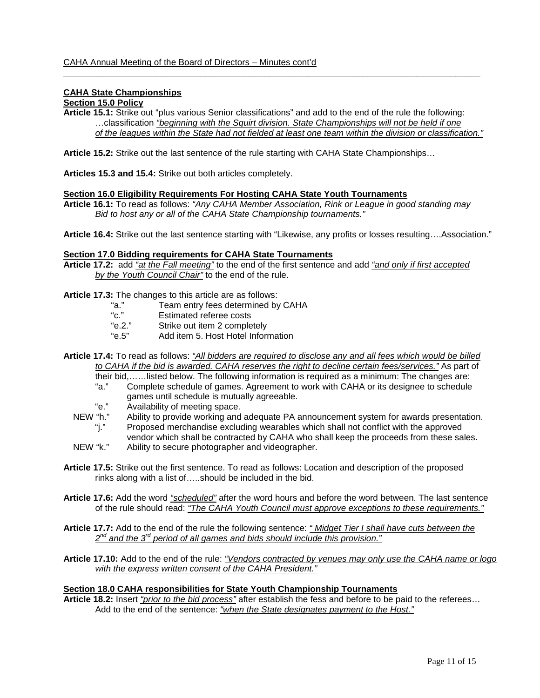### **CAHA State Championships**

## **Section 15.0 Policy**

**Article 15.1:** Strike out "plus various Senior classifications" and add to the end of the rule the following: …classification *"beginning with the Squirt division. State Championships will not be held if one of the leagues within the State had not fielded at least one team within the division or classification."*

 $\_$  ,  $\_$  ,  $\_$  ,  $\_$  ,  $\_$  ,  $\_$  ,  $\_$  ,  $\_$  ,  $\_$  ,  $\_$  ,  $\_$  ,  $\_$  ,  $\_$  ,  $\_$  ,  $\_$  ,  $\_$  ,  $\_$  ,  $\_$  ,  $\_$  ,  $\_$  ,  $\_$  ,  $\_$  ,  $\_$  ,  $\_$  ,  $\_$  ,  $\_$  ,  $\_$  ,  $\_$  ,  $\_$  ,  $\_$  ,  $\_$  ,  $\_$  ,  $\_$  ,  $\_$  ,  $\_$  ,  $\_$  ,  $\_$  ,

**Article 15.2:** Strike out the last sentence of the rule starting with CAHA State Championships…

**Articles 15.3 and 15.4:** Strike out both articles completely.

#### **Section 16.0 Eligibility Requirements For Hosting CAHA State Youth Tournaments**

**Article 16.1:** To read as follows: *"Any CAHA Member Association, Rink or League in good standing may Bid to host any or all of the CAHA State Championship tournaments."*

**Article 16.4:** Strike out the last sentence starting with "Likewise, any profits or losses resulting….Association."

#### **Section 17.0 Bidding requirements for CAHA State Tournaments**

**Article 17.2:** add *"at the Fall meeting"* to the end of the first sentence and add *"and only if first accepted by the Youth Council Chair"* to the end of the rule.

**Article 17.3:** The changes to this article are as follows:

- "a." Team entry fees determined by CAHA<br>"c." Estimated referee costs
- "c." Estimated referee costs<br>"e.2." Strike out item 2 comple
- Strike out item 2 completely
- "e.5" Add item 5. Host Hotel Information
- **Article 17.4:** To read as follows: *"All bidders are required to disclose any and all fees which would be billed to CAHA if the bid is awarded. CAHA reserves the right to decline certain fees/services."* As part of
	- their bid,……listed below. The following information is required as a minimum: The changes are: Complete schedule of games. Agreement to work with CAHA or its designee to schedule games until schedule is mutually agreeable.
	- "e." Availability of meeting space.<br>NEW "h." Ability to provide working and
	- "h." Ability to provide working and adequate PA announcement system for awards presentation.<br>"i." Proposed merchandise excluding wearables which shall not conflict with the approved
	- Proposed merchandise excluding wearables which shall not conflict with the approved vendor which shall be contracted by CAHA who shall keep the proceeds from these sales.
	- NEW "k." Ability to secure photographer and videographer.
- **Article 17.5:** Strike out the first sentence. To read as follows: Location and description of the proposed rinks along with a list of…..should be included in the bid.
- **Article 17.6:** Add the word *"scheduled"* after the word hours and before the word between. The last sentence of the rule should read: *"The CAHA Youth Council must approve exceptions to these requirements."*
- **Article 17.7:** Add to the end of the rule the following sentence: *" Midget Tier I shall have cuts between the 2nd and the 3rd period of all games and bids should include this provision."*
- **Article 17.10:** Add to the end of the rule: *"Vendors contracted by venues may only use the CAHA name or logo with the express written consent of the CAHA President."*

#### **Section 18.0 CAHA responsibilities for State Youth Championship Tournaments**

**Article 18.2:** Insert *"prior to the bid process"* after establish the fess and before to be paid to the referees… Add to the end of the sentence: *"when the State designates payment to the Host."*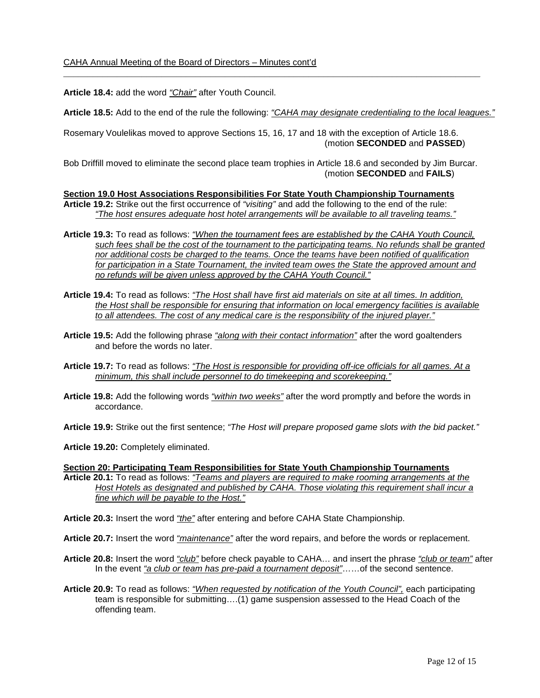**Article 18.4:** add the word *"Chair"* after Youth Council.

**Article 18.5:** Add to the end of the rule the following: *"CAHA may designate credentialing to the local leagues."*

\_\_\_\_\_\_\_\_\_\_\_\_\_\_\_\_\_\_\_\_\_\_\_\_\_\_\_\_\_\_\_\_\_\_\_\_\_\_\_\_\_\_\_\_\_\_\_\_\_\_\_\_\_\_\_\_\_\_\_\_\_\_\_\_\_\_\_\_\_\_\_\_\_\_\_\_\_\_\_\_\_\_\_\_\_

Rosemary Voulelikas moved to approve Sections 15, 16, 17 and 18 with the exception of Article 18.6. (motion **SECONDED** and **PASSED**)

Bob Driffill moved to eliminate the second place team trophies in Article 18.6 and seconded by Jim Burcar. (motion **SECONDED** and **FAILS**)

**Section 19.0 Host Associations Responsibilities For State Youth Championship Tournaments**

- **Article 19.2:** Strike out the first occurrence of *"visiting"* and add the following to the end of the rule: *"The host ensures adequate host hotel arrangements will be available to all traveling teams."*
- **Article 19.3:** To read as follows: *"When the tournament fees are established by the CAHA Youth Council, such fees shall be the cost of the tournament to the participating teams. No refunds shall be granted nor additional costs be charged to the teams. Once the teams have been notified of qualification for participation in a State Tournament, the invited team owes the State the approved amount and no refunds will be given unless approved by the CAHA Youth Council."*
- **Article 19.4:** To read as follows: *"The Host shall have first aid materials on site at all times. In addition, the Host shall be responsible for ensuring that information on local emergency facilities is available to all attendees. The cost of any medical care is the responsibility of the injured player."*
- **Article 19.5:** Add the following phrase *"along with their contact information"* after the word goaltenders and before the words no later.
- **Article 19.7:** To read as follows: *"The Host is responsible for providing off-ice officials for all games. At a minimum, this shall include personnel to do timekeeping and scorekeeping."*
- **Article 19.8:** Add the following words *"within two weeks"* after the word promptly and before the words in accordance.
- **Article 19.9:** Strike out the first sentence; *"The Host will prepare proposed game slots with the bid packet."*

**Article 19.20:** Completely eliminated.

- **Section 20: Participating Team Responsibilities for State Youth Championship Tournaments Article 20.1:** To read as follows: *"Teams and players are required to make rooming arrangements at the Host Hotels as designated and published by CAHA. Those violating this requirement shall incur a fine which will be payable to the Host."*
- **Article 20.3:** Insert the word *"the"* after entering and before CAHA State Championship.
- **Article 20.7:** Insert the word *"maintenance"* after the word repairs, and before the words or replacement.
- **Article 20.8:** Insert the word *"club"* before check payable to CAHA… and insert the phrase *"club or team"* after In the event *"a club or team has pre-paid a tournament deposit"*……of the second sentence.
- **Article 20.9:** To read as follows: *"When requested by notification of the Youth Council",* each participating team is responsible for submitting….(1) game suspension assessed to the Head Coach of the offending team.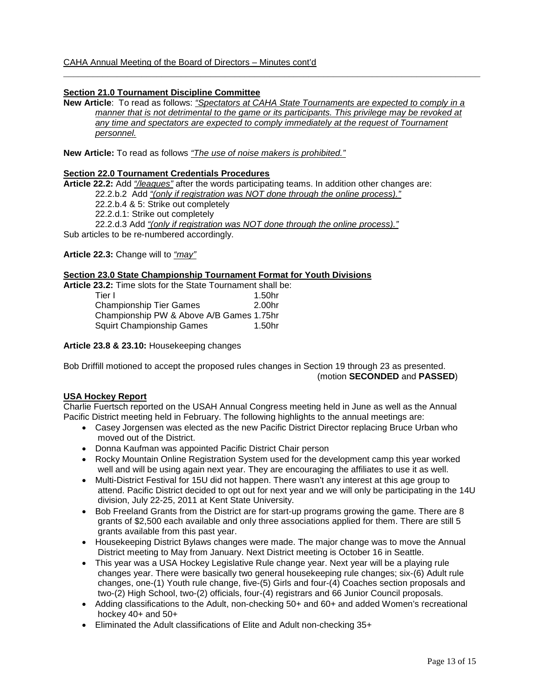# **Section 21.0 Tournament Discipline Committee**

**New Article**: To read as follows: *"Spectators at CAHA State Tournaments are expected to comply in a manner that is not detrimental to the game or its participants. This privilege may be revoked at any time and spectators are expected to comply immediately at the request of Tournament personnel.*

\_\_\_\_\_\_\_\_\_\_\_\_\_\_\_\_\_\_\_\_\_\_\_\_\_\_\_\_\_\_\_\_\_\_\_\_\_\_\_\_\_\_\_\_\_\_\_\_\_\_\_\_\_\_\_\_\_\_\_\_\_\_\_\_\_\_\_\_\_\_\_\_\_\_\_\_\_\_\_\_\_\_\_\_\_

**New Article:** To read as follows *"The use of noise makers is prohibited."*

### **Section 22.0 Tournament Credentials Procedures**

**Article 22.2:** Add *"/leagues"* after the words participating teams. In addition other changes are: 22.2.b.2 Add *"(only if registration was NOT done through the online process)."* 22.2.b.4 & 5: Strike out completely 22.2.d.1: Strike out completely 22.2.d.3 Add *"(only if registration was NOT done through the online process)."* Sub articles to be re-numbered accordingly.

**Article 22.3:** Change will to *"may"*

#### **Section 23.0 State Championship Tournament Format for Youth Divisions**

**Article 23.2:** Time slots for the State Tournament shall be: 1.50hr<br>2.00hr Championship Tier Games Championship PW & Above A/B Games 1.75hr Squirt Championship Games 1.50hr

**Article 23.8 & 23.10:** Housekeeping changes

Bob Driffill motioned to accept the proposed rules changes in Section 19 through 23 as presented. (motion **SECONDED** and **PASSED**)

# **USA Hockey Report**

Charlie Fuertsch reported on the USAH Annual Congress meeting held in June as well as the Annual Pacific District meeting held in February. The following highlights to the annual meetings are:

- Casey Jorgensen was elected as the new Pacific District Director replacing Bruce Urban who moved out of the District.
- Donna Kaufman was appointed Pacific District Chair person
- Rocky Mountain Online Registration System used for the development camp this year worked well and will be using again next year. They are encouraging the affiliates to use it as well.
- Multi-District Festival for 15U did not happen. There wasn't any interest at this age group to attend. Pacific District decided to opt out for next year and we will only be participating in the 14U division, July 22-25, 2011 at Kent State University.
- Bob Freeland Grants from the District are for start-up programs growing the game. There are 8 grants of \$2,500 each available and only three associations applied for them. There are still 5 grants available from this past year.
- Housekeeping District Bylaws changes were made. The major change was to move the Annual District meeting to May from January. Next District meeting is October 16 in Seattle.
- This year was a USA Hockey Legislative Rule change year. Next year will be a playing rule changes year. There were basically two general housekeeping rule changes; six-(6) Adult rule changes, one-(1) Youth rule change, five-(5) Girls and four-(4) Coaches section proposals and two-(2) High School, two-(2) officials, four-(4) registrars and 66 Junior Council proposals.
- Adding classifications to the Adult, non-checking 50+ and 60+ and added Women's recreational hockey 40+ and 50+
- Eliminated the Adult classifications of Elite and Adult non-checking 35+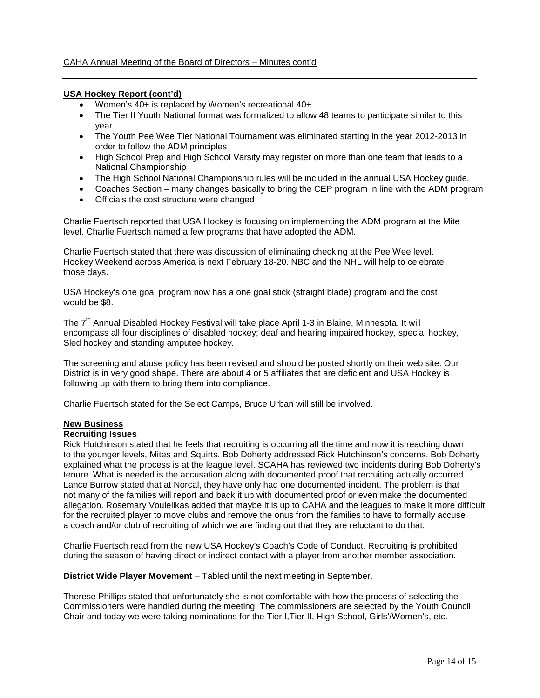### **USA Hockey Report (cont'd)**

- Women's 40+ is replaced by Women's recreational 40+
- The Tier II Youth National format was formalized to allow 48 teams to participate similar to this year
- The Youth Pee Wee Tier National Tournament was eliminated starting in the year 2012-2013 in order to follow the ADM principles
- High School Prep and High School Varsity may register on more than one team that leads to a National Championship
- The High School National Championship rules will be included in the annual USA Hockey guide.
- Coaches Section many changes basically to bring the CEP program in line with the ADM program
- Officials the cost structure were changed

Charlie Fuertsch reported that USA Hockey is focusing on implementing the ADM program at the Mite level. Charlie Fuertsch named a few programs that have adopted the ADM.

Charlie Fuertsch stated that there was discussion of eliminating checking at the Pee Wee level. Hockey Weekend across America is next February 18-20. NBC and the NHL will help to celebrate those days.

USA Hockey's one goal program now has a one goal stick (straight blade) program and the cost would be \$8.

The 7<sup>th</sup> Annual Disabled Hockey Festival will take place April 1-3 in Blaine, Minnesota. It will encompass all four disciplines of disabled hockey; deaf and hearing impaired hockey, special hockey, Sled hockey and standing amputee hockey.

The screening and abuse policy has been revised and should be posted shortly on their web site. Our District is in very good shape. There are about 4 or 5 affiliates that are deficient and USA Hockey is following up with them to bring them into compliance.

Charlie Fuertsch stated for the Select Camps, Bruce Urban will still be involved.

### **New Business**

#### **Recruiting Issues**

Rick Hutchinson stated that he feels that recruiting is occurring all the time and now it is reaching down to the younger levels, Mites and Squirts. Bob Doherty addressed Rick Hutchinson's concerns. Bob Doherty explained what the process is at the league level. SCAHA has reviewed two incidents during Bob Doherty's tenure. What is needed is the accusation along with documented proof that recruiting actually occurred. Lance Burrow stated that at Norcal, they have only had one documented incident. The problem is that not many of the families will report and back it up with documented proof or even make the documented allegation. Rosemary Voulelikas added that maybe it is up to CAHA and the leagues to make it more difficult for the recruited player to move clubs and remove the onus from the families to have to formally accuse a coach and/or club of recruiting of which we are finding out that they are reluctant to do that.

Charlie Fuertsch read from the new USA Hockey's Coach's Code of Conduct. Recruiting is prohibited during the season of having direct or indirect contact with a player from another member association.

**District Wide Player Movement** – Tabled until the next meeting in September.

Therese Phillips stated that unfortunately she is not comfortable with how the process of selecting the Commissioners were handled during the meeting. The commissioners are selected by the Youth Council Chair and today we were taking nominations for the Tier I,Tier II, High School, Girls'/Women's, etc.